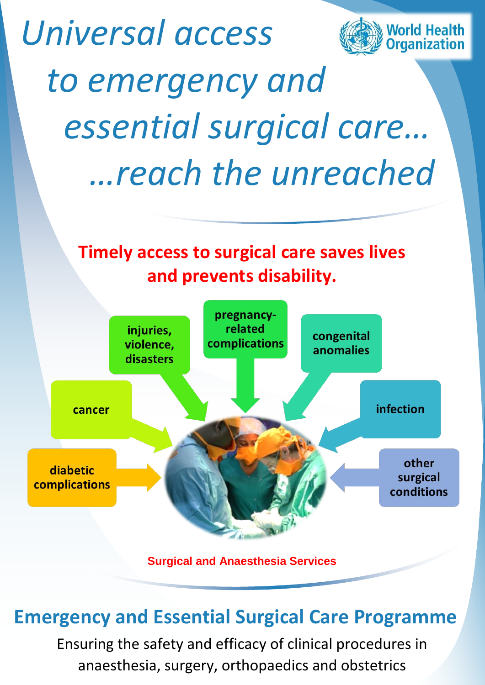

# **Emergency and Essential Surgical Care Programme**

Ensuring the safety and efficacy of clinical procedures in anaesthesia, surgery, orthopaedics and obstetrics